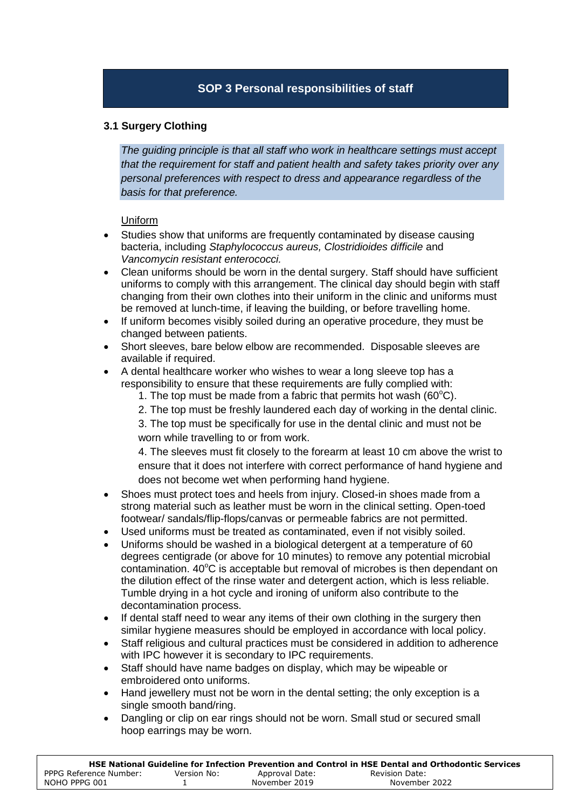# **SOP 3 Personal responsibilities of staff**

# **3.1 Surgery Clothing**

*The guiding principle is that all staff who work in healthcare settings must accept that the requirement for staff and patient health and safety takes priority over any personal preferences with respect to dress and appearance regardless of the basis for that preference.* 

## Uniform

- Studies show that uniforms are frequently contaminated by disease causing bacteria, including *Staphylococcus aureus, Clostridioides difficile* and *Vancomycin resistant enterococci.*
- Clean uniforms should be worn in the dental surgery. Staff should have sufficient uniforms to comply with this arrangement. The clinical day should begin with staff changing from their own clothes into their uniform in the clinic and uniforms must be removed at lunch-time, if leaving the building, or before travelling home.
- If uniform becomes visibly soiled during an operative procedure, they must be changed between patients.
- Short sleeves, bare below elbow are recommended. Disposable sleeves are available if required.
- A dental healthcare worker who wishes to wear a long sleeve top has a responsibility to ensure that these requirements are fully complied with:
	- 1. The top must be made from a fabric that permits hot wash ( $60^{\circ}$ C).
	- 2. The top must be freshly laundered each day of working in the dental clinic.

3. The top must be specifically for use in the dental clinic and must not be worn while travelling to or from work.

4. The sleeves must fit closely to the forearm at least 10 cm above the wrist to ensure that it does not interfere with correct performance of hand hygiene and does not become wet when performing hand hygiene.

- Shoes must protect toes and heels from injury. Closed-in shoes made from a strong material such as leather must be worn in the clinical setting. Open-toed footwear/ sandals/flip-flops/canvas or permeable fabrics are not permitted.
- Used uniforms must be treated as contaminated, even if not visibly soiled.
- Uniforms should be washed in a biological detergent at a temperature of 60 degrees centigrade (or above for 10 minutes) to remove any potential microbial contamination. 40°C is acceptable but removal of microbes is then dependant on the dilution effect of the rinse water and detergent action, which is less reliable. Tumble drying in a hot cycle and ironing of uniform also contribute to the decontamination process.
- If dental staff need to wear any items of their own clothing in the surgery then similar hygiene measures should be employed in accordance with local policy.
- Staff religious and cultural practices must be considered in addition to adherence with IPC however it is secondary to IPC requirements.
- Staff should have name badges on display, which may be wipeable or embroidered onto uniforms.
- Hand jewellery must not be worn in the dental setting; the only exception is a single smooth band/ring.
- Dangling or clip on ear rings should not be worn. Small stud or secured small hoop earrings may be worn.

|                        |             |                | HSE National Guideline for Infection Prevention and Control in HSE Dental and Orthodontic Services |
|------------------------|-------------|----------------|----------------------------------------------------------------------------------------------------|
| PPPG Reference Number: | Version No: | Approval Date: | Revision Date:                                                                                     |
| NOHO PPPG 001          |             | November 2019  | November 2022                                                                                      |